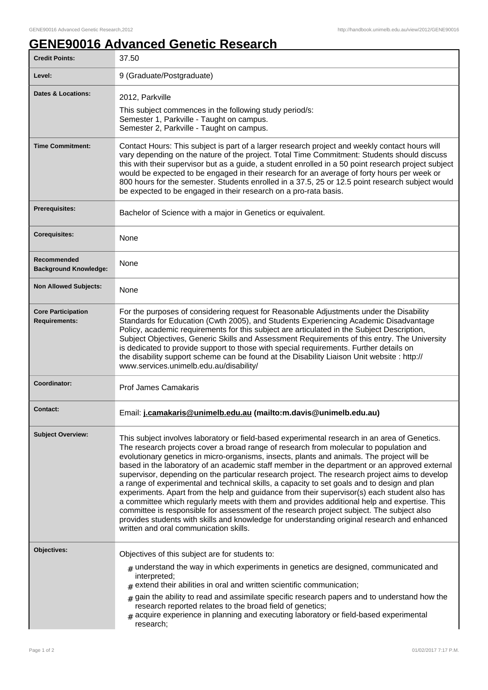1

## **GENE90016 Advanced Genetic Research**

| <b>Credit Points:</b>                             | 37.50                                                                                                                                                                                                                                                                                                                                                                                                                                                                                                                                                                                                                                                                                                                                                                                                                                                                                                                                                                                                                           |
|---------------------------------------------------|---------------------------------------------------------------------------------------------------------------------------------------------------------------------------------------------------------------------------------------------------------------------------------------------------------------------------------------------------------------------------------------------------------------------------------------------------------------------------------------------------------------------------------------------------------------------------------------------------------------------------------------------------------------------------------------------------------------------------------------------------------------------------------------------------------------------------------------------------------------------------------------------------------------------------------------------------------------------------------------------------------------------------------|
| Level:                                            | 9 (Graduate/Postgraduate)                                                                                                                                                                                                                                                                                                                                                                                                                                                                                                                                                                                                                                                                                                                                                                                                                                                                                                                                                                                                       |
| Dates & Locations:                                | 2012, Parkville<br>This subject commences in the following study period/s:<br>Semester 1, Parkville - Taught on campus.<br>Semester 2, Parkville - Taught on campus.                                                                                                                                                                                                                                                                                                                                                                                                                                                                                                                                                                                                                                                                                                                                                                                                                                                            |
| <b>Time Commitment:</b>                           | Contact Hours: This subject is part of a larger research project and weekly contact hours will<br>vary depending on the nature of the project. Total Time Commitment: Students should discuss<br>this with their supervisor but as a guide, a student enrolled in a 50 point research project subject<br>would be expected to be engaged in their research for an average of forty hours per week or<br>800 hours for the semester. Students enrolled in a 37.5, 25 or 12.5 point research subject would<br>be expected to be engaged in their research on a pro-rata basis.                                                                                                                                                                                                                                                                                                                                                                                                                                                    |
| <b>Prerequisites:</b>                             | Bachelor of Science with a major in Genetics or equivalent.                                                                                                                                                                                                                                                                                                                                                                                                                                                                                                                                                                                                                                                                                                                                                                                                                                                                                                                                                                     |
| <b>Corequisites:</b>                              | None                                                                                                                                                                                                                                                                                                                                                                                                                                                                                                                                                                                                                                                                                                                                                                                                                                                                                                                                                                                                                            |
| Recommended<br><b>Background Knowledge:</b>       | None                                                                                                                                                                                                                                                                                                                                                                                                                                                                                                                                                                                                                                                                                                                                                                                                                                                                                                                                                                                                                            |
| <b>Non Allowed Subjects:</b>                      | None                                                                                                                                                                                                                                                                                                                                                                                                                                                                                                                                                                                                                                                                                                                                                                                                                                                                                                                                                                                                                            |
| <b>Core Participation</b><br><b>Requirements:</b> | For the purposes of considering request for Reasonable Adjustments under the Disability<br>Standards for Education (Cwth 2005), and Students Experiencing Academic Disadvantage<br>Policy, academic requirements for this subject are articulated in the Subject Description,<br>Subject Objectives, Generic Skills and Assessment Requirements of this entry. The University<br>is dedicated to provide support to those with special requirements. Further details on<br>the disability support scheme can be found at the Disability Liaison Unit website : http://<br>www.services.unimelb.edu.au/disability/                                                                                                                                                                                                                                                                                                                                                                                                               |
| Coordinator:                                      | <b>Prof James Camakaris</b>                                                                                                                                                                                                                                                                                                                                                                                                                                                                                                                                                                                                                                                                                                                                                                                                                                                                                                                                                                                                     |
| <b>Contact:</b>                                   | Email: j.camakaris@unimelb.edu.au (mailto:m.davis@unimelb.edu.au)                                                                                                                                                                                                                                                                                                                                                                                                                                                                                                                                                                                                                                                                                                                                                                                                                                                                                                                                                               |
| <b>Subject Overview:</b>                          | This subject involves laboratory or field-based experimental research in an area of Genetics.<br>The research projects cover a broad range of research from molecular to population and<br>evolutionary genetics in micro-organisms, insects, plants and animals. The project will be<br>based in the laboratory of an academic staff member in the department or an approved external<br>supervisor, depending on the particular research project. The research project aims to develop<br>a range of experimental and technical skills, a capacity to set goals and to design and plan<br>experiments. Apart from the help and guidance from their supervisor(s) each student also has<br>a committee which regularly meets with them and provides additional help and expertise. This<br>committee is responsible for assessment of the research project subject. The subject also<br>provides students with skills and knowledge for understanding original research and enhanced<br>written and oral communication skills. |
| Objectives:                                       | Objectives of this subject are for students to:<br>$_{\#}$ understand the way in which experiments in genetics are designed, communicated and<br>interpreted;                                                                                                                                                                                                                                                                                                                                                                                                                                                                                                                                                                                                                                                                                                                                                                                                                                                                   |
|                                                   | $#$ extend their abilities in oral and written scientific communication;<br>gain the ability to read and assimilate specific research papers and to understand how the<br>#<br>research reported relates to the broad field of genetics;<br>$#$ acquire experience in planning and executing laboratory or field-based experimental<br>research;                                                                                                                                                                                                                                                                                                                                                                                                                                                                                                                                                                                                                                                                                |